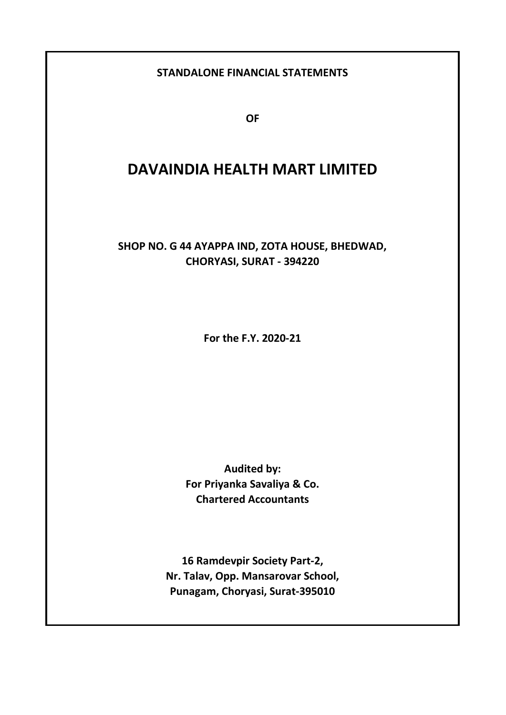**STANDALONE FINANCIAL STATEMENTS**

**OF**

# **DAVAINDIA HEALTH MART LIMITED**

**SHOP NO. G 44 AYAPPA IND, ZOTA HOUSE, BHEDWAD, CHORYASI, SURAT - 394220**

**For the F.Y. 2020-21**

**Audited by: For Priyanka Savaliya & Co. Chartered Accountants**

**16 Ramdevpir Society Part-2, Nr. Talav, Opp. Mansarovar School, Punagam, Choryasi, Surat-395010**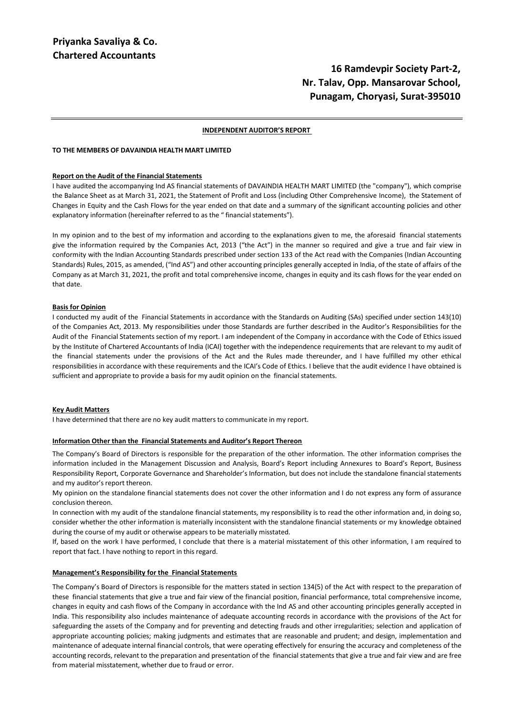# **16 Ramdevpir Society Part-2, Nr. Talav, Opp. Mansarovar School, Punagam, Choryasi, Surat-395010**

#### **INDEPENDENT AUDITOR'S REPORT**

#### **TO THE MEMBERS OF DAVAINDIA HEALTH MART LIMITED**

#### **Report on the Audit of the Financial Statements**

I have audited the accompanying Ind AS financial statements of DAVAINDIA HEALTH MART LIMITED (the "company"), which comprise the Balance Sheet as at March 31, 2021, the Statement of Profit and Loss (including Other Comprehensive Income), the Statement of Changes in Equity and the Cash Flows for the year ended on that date and a summary of the significant accounting policies and other explanatory information (hereinafter referred to as the " financial statements").

In my opinion and to the best of my information and according to the explanations given to me, the aforesaid financial statements give the information required by the Companies Act, 2013 ("the Act") in the manner so required and give a true and fair view in conformity with the Indian Accounting Standards prescribed under section 133 of the Act read with the Companies (Indian Accounting Standards) Rules, 2015, as amended, ("Ind AS") and other accounting principles generally accepted in India, of the state of affairs of the Company as at March 31, 2021, the profit and total comprehensive income, changes in equity and its cash flows for the year ended on that date.

#### **Basis for Opinion**

I conducted my audit of the Financial Statements in accordance with the Standards on Auditing (SAs) specified under section 143(10) of the Companies Act, 2013. My responsibilities under those Standards are further described in the Auditor's Responsibilities for the Audit of the Financial Statements section of my report. I am independent of the Company in accordance with the Code of Ethics issued by the Institute of Chartered Accountants of India (ICAI) together with the independence requirements that are relevant to my audit of the financial statements under the provisions of the Act and the Rules made thereunder, and I have fulfilled my other ethical responsibilities in accordance with these requirements and the ICAI's Code of Ethics. I believe that the audit evidence I have obtained is sufficient and appropriate to provide a basis for my audit opinion on the financial statements.

#### **Key Audit Matters**

I have determined that there are no key audit matters to communicate in my report.

#### **Information Other than the Financial Statements and Auditor's Report Thereon**

The Company's Board of Directors is responsible for the preparation of the other information. The other information comprises the information included in the Management Discussion and Analysis, Board's Report including Annexures to Board's Report, Business Responsibility Report, Corporate Governance and Shareholder's Information, but does not include the standalone financial statements and my auditor's report thereon.

My opinion on the standalone financial statements does not cover the other information and I do not express any form of assurance conclusion thereon.

In connection with my audit of the standalone financial statements, my responsibility is to read the other information and, in doing so, consider whether the other information is materially inconsistent with the standalone financial statements or my knowledge obtained during the course of my audit or otherwise appears to be materially misstated.

If, based on the work I have performed, I conclude that there is a material misstatement of this other information, I am required to report that fact. I have nothing to report in this regard.

#### **Management's Responsibility for the Financial Statements**

The Company's Board of Directors is responsible for the matters stated in section 134(5) of the Act with respect to the preparation of these financial statements that give a true and fair view of the financial position, financial performance, total comprehensive income, changes in equity and cash flows of the Company in accordance with the Ind AS and other accounting principles generally accepted in India. This responsibility also includes maintenance of adequate accounting records in accordance with the provisions of the Act for safeguarding the assets of the Company and for preventing and detecting frauds and other irregularities; selection and application of appropriate accounting policies; making judgments and estimates that are reasonable and prudent; and design, implementation and maintenance of adequate internal financial controls, that were operating effectively for ensuring the accuracy and completeness of the accounting records, relevant to the preparation and presentation of the financial statements that give a true and fair view and are free from material misstatement, whether due to fraud or error.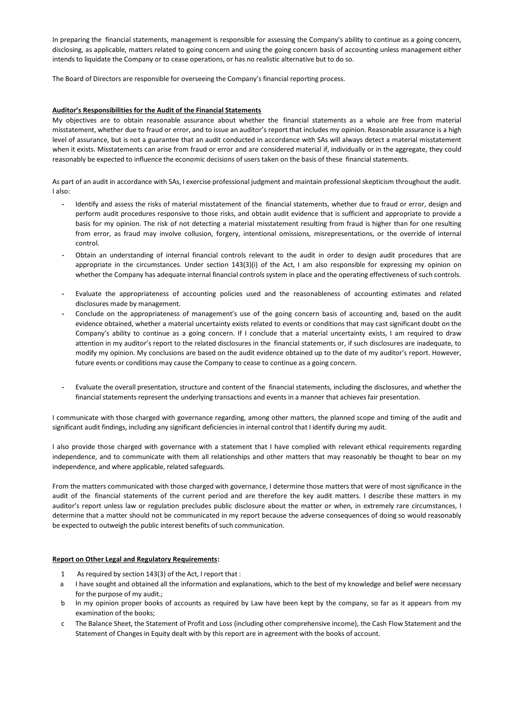In preparing the financial statements, management is responsible for assessing the Company's ability to continue as a going concern, disclosing, as applicable, matters related to going concern and using the going concern basis of accounting unless management either intends to liquidate the Company or to cease operations, or has no realistic alternative but to do so.

The Board of Directors are responsible for overseeing the Company's financial reporting process.

#### **Auditor's Responsibilities for the Audit of the Financial Statements**

My objectives are to obtain reasonable assurance about whether the financial statements as a whole are free from material misstatement, whether due to fraud or error, and to issue an auditor's report that includes my opinion. Reasonable assurance is a high level of assurance, but is not a guarantee that an audit conducted in accordance with SAs will always detect a material misstatement when it exists. Misstatements can arise from fraud or error and are considered material if, individually or in the aggregate, they could reasonably be expected to influence the economic decisions of users taken on the basis of these financial statements.

As part of an audit in accordance with SAs, I exercise professional judgment and maintain professional skepticism throughout the audit. I also:

- **-** Identify and assess the risks of material misstatement of the financial statements, whether due to fraud or error, design and perform audit procedures responsive to those risks, and obtain audit evidence that is sufficient and appropriate to provide a basis for my opinion. The risk of not detecting a material misstatement resulting from fraud is higher than for one resulting from error, as fraud may involve collusion, forgery, intentional omissions, misrepresentations, or the override of internal control.
- **-** Obtain an understanding of internal financial controls relevant to the audit in order to design audit procedures that are appropriate in the circumstances. Under section 143(3)(i) of the Act, I am also responsible for expressing my opinion on whether the Company has adequate internal financial controls system in place and the operating effectiveness of such controls.
- **-** Evaluate the appropriateness of accounting policies used and the reasonableness of accounting estimates and related disclosures made by management.
- **-** Conclude on the appropriateness of management's use of the going concern basis of accounting and, based on the audit evidence obtained, whether a material uncertainty exists related to events or conditions that may cast significant doubt on the Company's ability to continue as a going concern. If I conclude that a material uncertainty exists, I am required to draw attention in my auditor's report to the related disclosures in the financial statements or, if such disclosures are inadequate, to modify my opinion. My conclusions are based on the audit evidence obtained up to the date of my auditor's report. However, future events or conditions may cause the Company to cease to continue as a going concern.
- **-** Evaluate the overall presentation, structure and content of the financial statements, including the disclosures, and whether the financial statements represent the underlying transactions and events in a manner that achieves fair presentation.

I communicate with those charged with governance regarding, among other matters, the planned scope and timing of the audit and significant audit findings, including any significant deficiencies in internal control that I identify during my audit.

I also provide those charged with governance with a statement that I have complied with relevant ethical requirements regarding independence, and to communicate with them all relationships and other matters that may reasonably be thought to bear on my independence, and where applicable, related safeguards.

From the matters communicated with those charged with governance, I determine those matters that were of most significance in the audit of the financial statements of the current period and are therefore the key audit matters. I describe these matters in my auditor's report unless law or regulation precludes public disclosure about the matter or when, in extremely rare circumstances, I determine that a matter should not be communicated in my report because the adverse consequences of doing so would reasonably be expected to outweigh the public interest benefits of such communication.

#### **Report on Other Legal and Regulatory Requirements:**

- 1 As required by section 143(3) of the Act, I report that :
- a I have sought and obtained all the information and explanations, which to the best of my knowledge and belief were necessary for the purpose of my audit.;
- b In my opinion proper books of accounts as required by Law have been kept by the company, so far as it appears from my examination of the books;
- c The Balance Sheet, the Statement of Profit and Loss (including other comprehensive income), the Cash Flow Statement and the Statement of Changes in Equity dealt with by this report are in agreement with the books of account.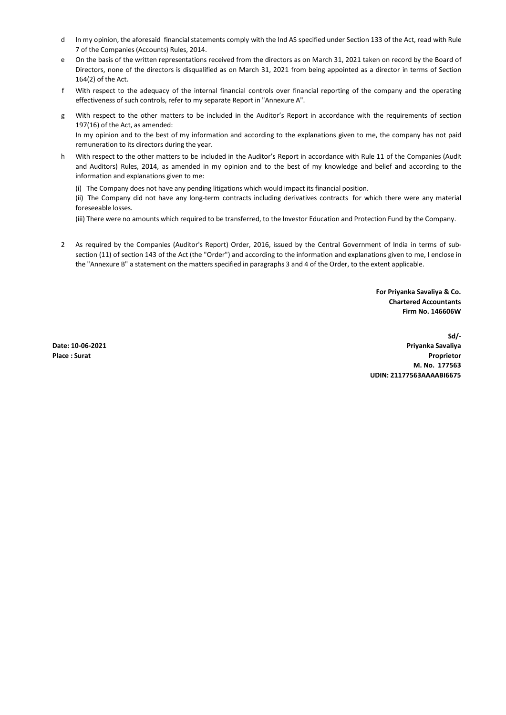- d In my opinion, the aforesaid financial statements comply with the Ind AS specified under Section 133 of the Act, read with Rule 7 of the Companies (Accounts) Rules, 2014.
- e On the basis of the written representations received from the directors as on March 31, 2021 taken on record by the Board of Directors, none of the directors is disqualified as on March 31, 2021 from being appointed as a director in terms of Section 164(2) of the Act.
- f With respect to the adequacy of the internal financial controls over financial reporting of the company and the operating effectiveness of such controls, refer to my separate Report in "Annexure A".
- g With respect to the other matters to be included in the Auditor's Report in accordance with the requirements of section 197(16) of the Act, as amended: In my opinion and to the best of my information and according to the explanations given to me, the company has not paid remuneration to its directors during the year.
- h With respect to the other matters to be included in the Auditor's Report in accordance with Rule 11 of the Companies (Audit and Auditors) Rules, 2014, as amended in my opinion and to the best of my knowledge and belief and according to the information and explanations given to me:
	- (i) The Company does not have any pending litigations which would impact its financial position.

(ii) The Company did not have any long-term contracts including derivatives contracts for which there were any material foreseeable losses.

(iii) There were no amounts which required to be transferred, to the Investor Education and Protection Fund by the Company.

2 As required by the Companies (Auditor's Report) Order, 2016, issued by the Central Government of India in terms of subsection (11) of section 143 of the Act (the "Order") and according to the information and explanations given to me, I enclose in the "Annexure B" a statement on the matters specified in paragraphs 3 and 4 of the Order, to the extent applicable.

> **Firm No. 146606W For Priyanka Savaliya & Co. Chartered Accountants**

**Sd/- Date: 10-06-2021 Priyanka Savaliya Place : Surat Proprietor M. No. 177563 UDIN: 21177563AAAABI6675**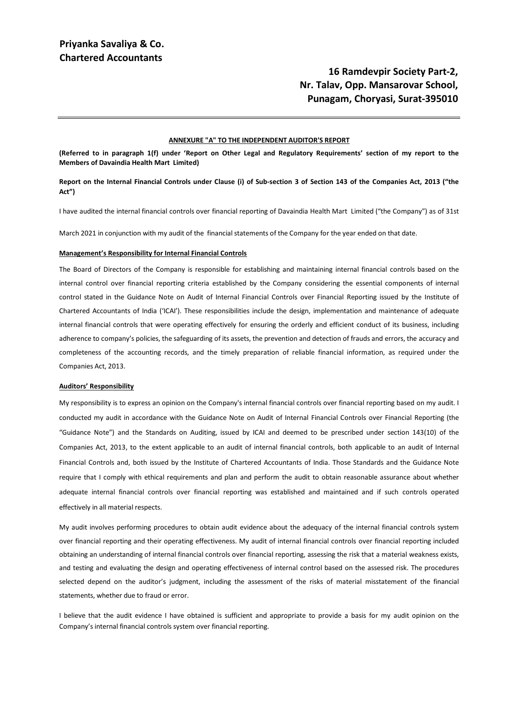**16 Ramdevpir Society Part-2, Nr. Talav, Opp. Mansarovar School, Punagam, Choryasi, Surat-395010**

#### **ANNEXURE "A" TO THE INDEPENDENT AUDITOR'S REPORT**

(Referred to in paragraph 1(f) under 'Report on Other Legal and Regulatory Requirements' section of my report to the **Members of Davaindia Health Mart Limited)**

Report on the Internal Financial Controls under Clause (i) of Sub-section 3 of Section 143 of the Companies Act, 2013 ("the **Act")**

I have audited the internal financial controls over financial reporting of Davaindia Health Mart Limited ("the Company") as of 31st

March 2021 in conjunction with my audit of the financial statements of the Company for the year ended on that date.

#### **Management's Responsibility for Internal Financial Controls**

The Board of Directors of the Company is responsible for establishing and maintaining internal financial controls based on the internal control over financial reporting criteria established by the Company considering the essential components of internal control stated in the Guidance Note on Audit of Internal Financial Controls over Financial Reporting issued by the Institute of Chartered Accountants of India ('ICAI'). These responsibilities include the design, implementation and maintenance of adequate internal financial controls that were operating effectively for ensuring the orderly and efficient conduct of its business, including adherence to company's policies, the safeguarding of its assets, the prevention and detection of frauds and errors, the accuracy and completeness of the accounting records, and the timely preparation of reliable financial information, as required under the Companies Act, 2013.

#### **Auditors' Responsibility**

My responsibility is to express an opinion on the Company's internal financial controls over financial reporting based on my audit. I conducted my audit in accordance with the Guidance Note on Audit of Internal Financial Controls over Financial Reporting (the "Guidance Note") and the Standards on Auditing, issued by ICAI and deemed to be prescribed under section 143(10) of the Companies Act, 2013, to the extent applicable to an audit of internal financial controls, both applicable to an audit of Internal Financial Controls and, both issued by the Institute of Chartered Accountants of India. Those Standards and the Guidance Note require that I comply with ethical requirements and plan and perform the audit to obtain reasonable assurance about whether adequate internal financial controls over financial reporting was established and maintained and if such controls operated effectively in all material respects.

My audit involves performing procedures to obtain audit evidence about the adequacy of the internal financial controls system over financial reporting and their operating effectiveness. My audit of internal financial controls over financial reporting included obtaining an understanding of internal financial controls over financial reporting, assessing the risk that a material weakness exists, and testing and evaluating the design and operating effectiveness of internal control based on the assessed risk. The procedures selected depend on the auditor's judgment, including the assessment of the risks of material misstatement of the financial statements, whether due to fraud or error.

I believe that the audit evidence I have obtained is sufficient and appropriate to provide a basis for my audit opinion on the Company's internal financial controls system over financial reporting.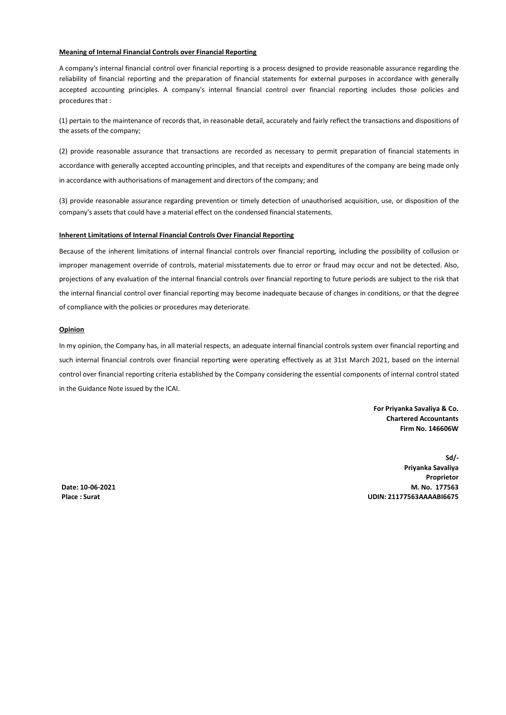#### **Meaning of Internal Financial Controls over Financial Reporting**

A company's internal financial control over financial reporting is a process designed to provide reasonable assurance regarding the reliability of financial reporting and the preparation of financial statements for external purposes in accordance with generally accepted accounting principles. A company's internal financial control over financial reporting includes those policies and procedures that :

(1) pertain to the maintenance of records that, in reasonable detail, accurately and fairly reflect the transactions and dispositions of the assets of the company;

(2) provide reasonable assurance that transactions are recorded as necessary to permit preparation of financial statements in accordance with generally accepted accounting principles, and that receipts and expenditures of the company are being made only in accordance with authorisations of management and directors of the company; and

(3) provide reasonable assurance regarding prevention or timely detection of unauthorised acquisition, use, or disposition of the company's assets that could have a material effect on the condensed financial statements.

#### **Inherent Limitations of Internal Financial Controls Over Financial Reporting**

Because of the inherent limitations of internal financial controls over financial reporting, including the possibility of collusion or improper management override of controls, material misstatements due to error or fraud may occur and not be detected. Also, projections of any evaluation of the internal financial controls over financial reporting to future periods are subject to the risk that the internal financial control over financial reporting may become inadequate because of changes in conditions, or that the degree of compliance with the policies or procedures may deteriorate.

#### **Opinion**

In my opinion, the Company has, in all material respects, an adequate internal financial controls system over financial reporting and such internal financial controls over financial reporting were operating effectively as at 31st March 2021, based on the internal control over financial reporting criteria established by the Company considering the essential components of internal control stated in the Guidance Note issued by the ICAI.

> **For Priyanka Savaliya & Co. Chartered Accountants Firm No. 146606W**

**Sd/- Priyanka Savaliya Proprietor Date: 10-06-2021 M. No. 177563 Place : Surat UDIN: 21177563AAAABI6675**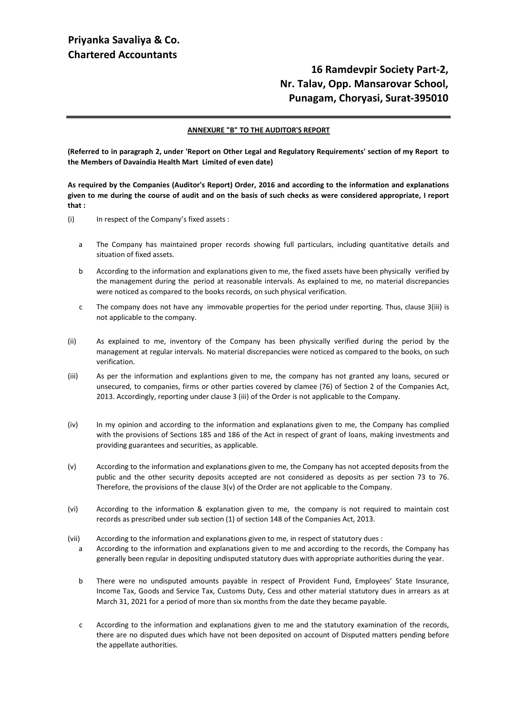# **16 Ramdevpir Society Part-2, Nr. Talav, Opp. Mansarovar School, Punagam, Choryasi, Surat-395010**

#### **ANNEXURE "B" TO THE AUDITOR'S REPORT**

(Referred to in paragraph 2, under 'Report on Other Legal and Regulatory Requirements' section of my Report to **the Members of Davaindia Health Mart Limited of even date)**

**As required by the Companies (Auditor's Report) Order, 2016 and according to the information and explanations** given to me during the course of audit and on the basis of such checks as were considered appropriate, I report **that :**

- (i) In respect of the Company's fixed assets :
	- a The Company has maintained proper records showing full particulars, including quantitative details and situation of fixed assets.
	- b According to the information and explanations given to me, the fixed assets have been physically verified by the management during the period at reasonable intervals. As explained to me, no material discrepancies were noticed as compared to the books records, on such physical verification.
	- c The company does not have any immovable properties for the period under reporting. Thus, clause 3(iii) is not applicable to the company.
- (ii) As explained to me, inventory of the Company has been physically verified during the period by the management at regular intervals. No material discrepancies were noticed as compared to the books, on such verification.
- (iii) As per the information and explantions given to me, the company has not granted any loans, secured or unsecured, to companies, firms or other parties covered by clamee (76) of Section 2 of the Companies Act, 2013. Accordingly, reporting under clause 3 (iii) of the Order is not applicable to the Company.
- (iv) In my opinion and according to the information and explanations given to me, the Company has complied with the provisions of Sections 185 and 186 of the Act in respect of grant of loans, making investments and providing guarantees and securities, as applicable.
- (v) According to the information and explanations given to me, the Company has not accepted deposits from the public and the other security deposits accepted are not considered as deposits as per section 73 to 76. Therefore, the provisions of the clause 3(v) of the Order are not applicable to the Company.
- (vi) According to the information & explanation given to me, the company is not required to maintain cost records as prescribed under sub section (1) of section 148 of the Companies Act, 2013.
- (vii) According to the information and explanations given to me, in respect of statutory dues :
	- a According to the information and explanations given to me and according to the records, the Company has generally been regular in depositing undisputed statutory dues with appropriate authorities during the year.
	- b There were no undisputed amounts payable in respect of Provident Fund, Employees' State Insurance, Income Tax, Goods and Service Tax, Customs Duty, Cess and other material statutory dues in arrears as at March 31, 2021 for a period of more than six months from the date they became payable.
	- c According to the information and explanations given to me and the statutory examination of the records, there are no disputed dues which have not been deposited on account of Disputed matters pending before the appellate authorities.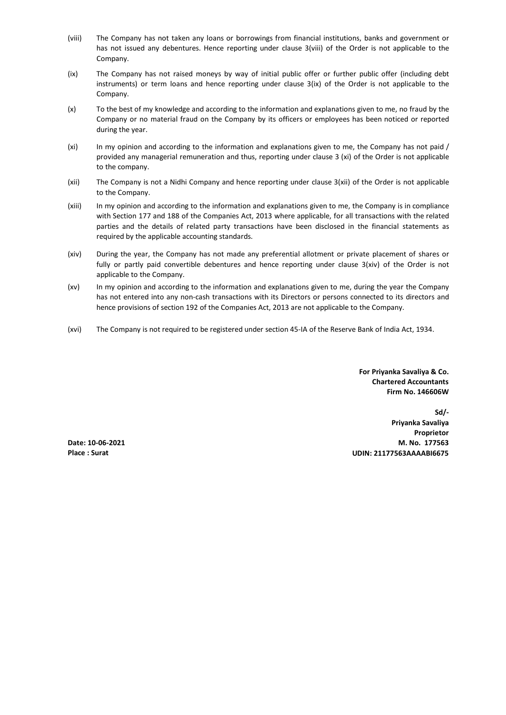- (viii) The Company has not taken any loans or borrowings from financial institutions, banks and government or has not issued any debentures. Hence reporting under clause 3(viii) of the Order is not applicable to the Company.
- (ix) The Company has not raised moneys by way of initial public offer or further public offer (including debt instruments) or term loans and hence reporting under clause 3(ix) of the Order is not applicable to the Company.
- (x) To the best of my knowledge and according to the information and explanations given to me, no fraud by the Company or no material fraud on the Company by its officers or employees has been noticed or reported during the year.
- (xi) In my opinion and according to the information and explanations given to me, the Company has not paid / provided any managerial remuneration and thus, reporting under clause 3 (xi) of the Order is not applicable to the company.
- (xii) The Company is not a Nidhi Company and hence reporting under clause  $3(xii)$  of the Order is not applicable to the Company.
- (xiii) In my opinion and according to the information and explanations given to me, the Company is in compliance with Section 177 and 188 of the Companies Act, 2013 where applicable, for all transactions with the related parties and the details of related party transactions have been disclosed in the financial statements as required by the applicable accounting standards.
- (xiv) During the year, the Company has not made any preferential allotment or private placement of shares or fully or partly paid convertible debentures and hence reporting under clause 3(xiv) of the Order is not applicable to the Company.
- (xv) In my opinion and according to the information and explanations given to me, during the year the Company has not entered into any non-cash transactions with its Directors or persons connected to its directors and hence provisions of section 192 of the Companies Act, 2013 are not applicable to the Company.
- (xvi) The Company is not required to be registered under section 45-IA of the Reserve Bank of India Act, 1934.

**For Priyanka Savaliya & Co. Chartered Accountants Firm No. 146606W**

**Sd/- Priyanka Savaliya Proprietor Date: 10-06-2021 M. No. 177563 Place : Surat UDIN: 21177563AAAABI6675**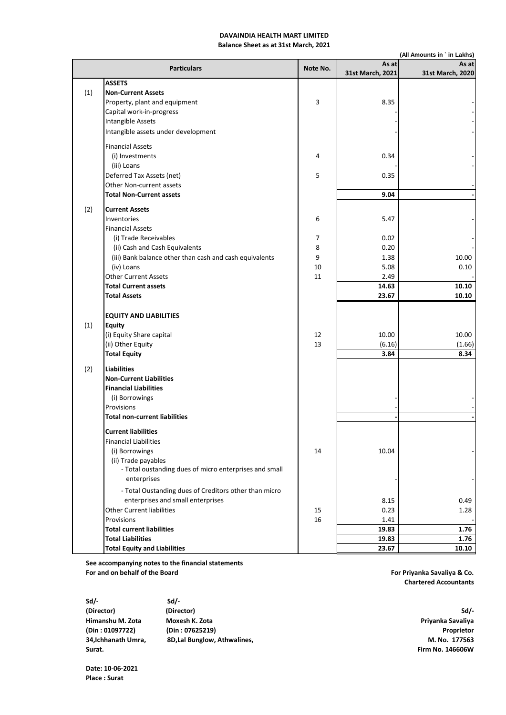#### **DAVAINDIA HEALTH MART LIMITED Balance Sheet as at 31st March, 2021**

|     |                                                                       |          |                  | (All Amounts in ` in Lakhs) |
|-----|-----------------------------------------------------------------------|----------|------------------|-----------------------------|
|     | <b>Particulars</b>                                                    | Note No. | As at            | As at                       |
|     | <b>ASSETS</b>                                                         |          | 31st March, 2021 | 31st March, 2020            |
| (1) | <b>Non-Current Assets</b>                                             |          |                  |                             |
|     |                                                                       | 3        | 8.35             |                             |
|     | Property, plant and equipment                                         |          |                  |                             |
|     | Capital work-in-progress<br>Intangible Assets                         |          |                  |                             |
|     |                                                                       |          |                  |                             |
|     | Intangible assets under development                                   |          |                  |                             |
|     | <b>Financial Assets</b>                                               |          |                  |                             |
|     | (i) Investments                                                       | 4        | 0.34             |                             |
|     | (iii) Loans                                                           |          |                  |                             |
|     | Deferred Tax Assets (net)                                             | 5        | 0.35             |                             |
|     | Other Non-current assets                                              |          |                  |                             |
|     | <b>Total Non-Current assets</b>                                       |          | 9.04             |                             |
| (2) | <b>Current Assets</b>                                                 |          |                  |                             |
|     | Inventories                                                           | 6        | 5.47             |                             |
|     | <b>Financial Assets</b>                                               |          |                  |                             |
|     | (i) Trade Receivables                                                 | 7        | 0.02             |                             |
|     | (ii) Cash and Cash Equivalents                                        | 8        | 0.20             |                             |
|     |                                                                       | 9        | 1.38             | 10.00                       |
|     | (iii) Bank balance other than cash and cash equivalents<br>(iv) Loans | 10       |                  | 0.10                        |
|     |                                                                       |          | 5.08             |                             |
|     | <b>Other Current Assets</b><br><b>Total Current assets</b>            | 11       | 2.49             | 10.10                       |
|     | <b>Total Assets</b>                                                   |          | 14.63<br>23.67   | 10.10                       |
|     |                                                                       |          |                  |                             |
|     | <b>EQUITY AND LIABILITIES</b>                                         |          |                  |                             |
| (1) | <b>Equity</b>                                                         |          |                  |                             |
|     | (i) Equity Share capital                                              | 12       | 10.00            | 10.00                       |
|     | (ii) Other Equity                                                     | 13       | (6.16)           | (1.66)                      |
|     | <b>Total Equity</b>                                                   |          | 3.84             | 8.34                        |
|     |                                                                       |          |                  |                             |
| (2) | <b>Liabilities</b>                                                    |          |                  |                             |
|     | <b>Non-Current Liabilities</b>                                        |          |                  |                             |
|     | <b>Financial Liabilities</b>                                          |          |                  |                             |
|     | (i) Borrowings                                                        |          |                  |                             |
|     | Provisions                                                            |          |                  |                             |
|     | <b>Total non-current liabilities</b>                                  |          |                  |                             |
|     | <b>Current liabilities</b>                                            |          |                  |                             |
|     | <b>Financial Liabilities</b>                                          |          |                  |                             |
|     | (i) Borrowings                                                        | 14       | 10.04            |                             |
|     | (ii) Trade payables                                                   |          |                  |                             |
|     | - Total oustanding dues of micro enterprises and small                |          |                  |                             |
|     | enterprises                                                           |          |                  |                             |
|     | - Total Oustanding dues of Creditors other than micro                 |          |                  |                             |
|     | enterprises and small enterprises                                     |          | 8.15             | 0.49                        |
|     | <b>Other Current liabilities</b>                                      | 15       | 0.23             | 1.28                        |
|     | Provisions                                                            | 16       | 1.41             |                             |
|     | <b>Total current liabilities</b>                                      |          | 19.83            | 1.76                        |
|     | <b>Total Liabilities</b>                                              |          | 19.83            | 1.76                        |
|     | <b>Total Equity and Liabilities</b>                                   |          | 23.67            | 10.10                       |
|     |                                                                       |          |                  |                             |

**See accompanying notes to the financial statements**

Sd/-<br>(Director) Sd/-<br>(Director) (Director) **34, Ichhanath Umra, 8D, Lal Bunglow, Athwalines, Surat.** 

**(Director) (Director) Sd/- Himanshu M. Zota Moxesh K. Zota Priyanka Savaliya (Din : 01097722) (Din : 07625219) Proprietor**

**For Priyanka Savaliya & Co. Chartered Accountants**

**Surat., Surat., Firm No. 146606W**

**Date: 10-06-2021 Place : Surat**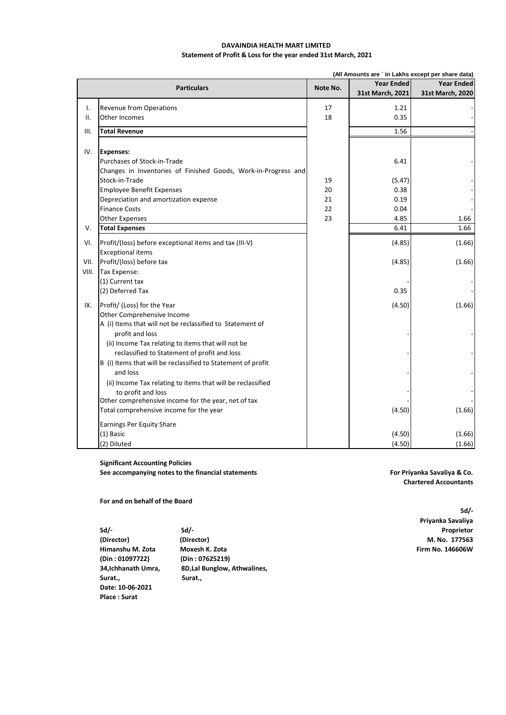#### **Statement of Profit & Loss for the year ended 31st March, 2021 DAVAINDIA HEALTH MART LIMITED**

|                                |                                                                | (All Amounts are ` in Lakhs except per share data) |                   |                   |  |
|--------------------------------|----------------------------------------------------------------|----------------------------------------------------|-------------------|-------------------|--|
| <b>Particulars</b><br>Note No. |                                                                |                                                    | <b>Year Ended</b> | <b>Year Ended</b> |  |
|                                |                                                                |                                                    | 31st March, 2021  | 31st March, 2020  |  |
| Τ.                             | <b>Revenue from Operations</b>                                 | 17                                                 | 1.21              |                   |  |
| ΙΙ.                            | Other Incomes                                                  | 18                                                 | 0.35              |                   |  |
|                                |                                                                |                                                    |                   |                   |  |
| III.                           | <b>Total Revenue</b>                                           |                                                    | 1.56              |                   |  |
|                                |                                                                |                                                    |                   |                   |  |
| IV.                            | <b>Expenses:</b>                                               |                                                    |                   |                   |  |
|                                | Purchases of Stock-in-Trade                                    |                                                    | 6.41              |                   |  |
|                                | Changes in Inventories of Finished Goods, Work-in-Progress and |                                                    |                   |                   |  |
|                                | Stock-in-Trade                                                 | 19                                                 | (5.47)            |                   |  |
|                                | <b>Employee Benefit Expenses</b>                               | 20                                                 | 0.38              |                   |  |
|                                | Depreciation and amortization expense                          | 21                                                 | 0.19              |                   |  |
|                                | <b>Finance Costs</b>                                           | 22                                                 | 0.04              |                   |  |
|                                | <b>Other Expenses</b>                                          | 23                                                 | 4.85              | 1.66              |  |
| V.                             | <b>Total Expenses</b>                                          |                                                    | 6.41              | 1.66              |  |
| VI.                            | Profit/(loss) before exceptional items and tax (III-V)         |                                                    | (4.85)            | (1.66)            |  |
|                                | <b>Exceptional items</b>                                       |                                                    |                   |                   |  |
| VII.                           | Profit/(loss) before tax                                       |                                                    | (4.85)            | (1.66)            |  |
| VIII.                          | Tax Expense:                                                   |                                                    |                   |                   |  |
|                                | (1) Current tax                                                |                                                    |                   |                   |  |
|                                | (2) Deferred Tax                                               |                                                    | 0.35              |                   |  |
| IX.                            | Profit/ (Loss) for the Year                                    |                                                    | (4.50)            | (1.66)            |  |
|                                | Other Comprehensive Income                                     |                                                    |                   |                   |  |
|                                | A (i) Items that will not be reclassified to Statement of      |                                                    |                   |                   |  |
|                                | profit and loss                                                |                                                    |                   |                   |  |
|                                | (ii) Income Tax relating to items that will not be             |                                                    |                   |                   |  |
|                                | reclassified to Statement of profit and loss                   |                                                    |                   |                   |  |
|                                | B (i) Items that will be reclassified to Statement of profit   |                                                    |                   |                   |  |
|                                | and loss                                                       |                                                    |                   |                   |  |
|                                | (ii) Income Tax relating to items that will be reclassified    |                                                    |                   |                   |  |
|                                | to profit and loss                                             |                                                    |                   |                   |  |
|                                | Other comprehensive income for the year, net of tax            |                                                    |                   |                   |  |
|                                | Total comprehensive income for the year                        |                                                    | (4.50)            | (1.66)            |  |
|                                | Earnings Per Equity Share                                      |                                                    |                   |                   |  |
|                                | (1) Basic                                                      |                                                    | (4.50)            | (1.66)            |  |
|                                | (2) Diluted                                                    |                                                    | (4.50)            | (1.66)            |  |

#### **Significant Accounting Policies See accompanying notes to the financial statements For Priyanka Savaliya & Co.**

**For and on behalf of the Board**

**Himanshu M. Zota (Din : 01097722) (Din : 07625219) Surat., Surat., Date: 10-06-2021 Place : Surat**

**Sd/- Sd/- Proprietor (Director) (Director) M. No. 177563 34,Ichhanath Umra, 8D,Lal Bunglow, Athwalines,** 

**Chartered Accountants**

**Sd/- Priyanka Savaliya**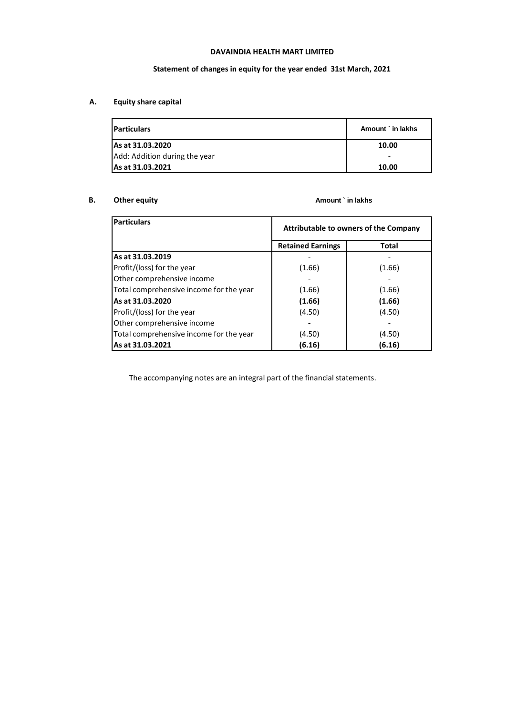#### **Statement of changes in equity for the year ended 31st March, 2021**

# **A. Equity share capital**

| <b>Particulars</b>            | Amount ` in lakhs |
|-------------------------------|-------------------|
| As at 31.03.2020              | 10.00             |
| Add: Addition during the year |                   |
| As at 31.03.2021              | 10.00             |

# **B.** Other equity **Amount `** in lakhs

| <b>Particulars</b>                      | Attributable to owners of the Company |        |  |
|-----------------------------------------|---------------------------------------|--------|--|
|                                         | <b>Retained Earnings</b>              | Total  |  |
| As at 31.03.2019                        |                                       |        |  |
| Profit/(loss) for the year              | (1.66)                                | (1.66) |  |
| Other comprehensive income              |                                       |        |  |
| Total comprehensive income for the year | (1.66)                                | (1.66) |  |
| As at 31.03.2020                        | (1.66)                                | (1.66) |  |
| Profit/(loss) for the year              | (4.50)                                | (4.50) |  |
| Other comprehensive income              |                                       |        |  |
| Total comprehensive income for the year | (4.50)                                | (4.50) |  |
| As at 31.03.2021                        | (6.16)                                | (6.16) |  |

The accompanying notes are an integral part of the financial statements.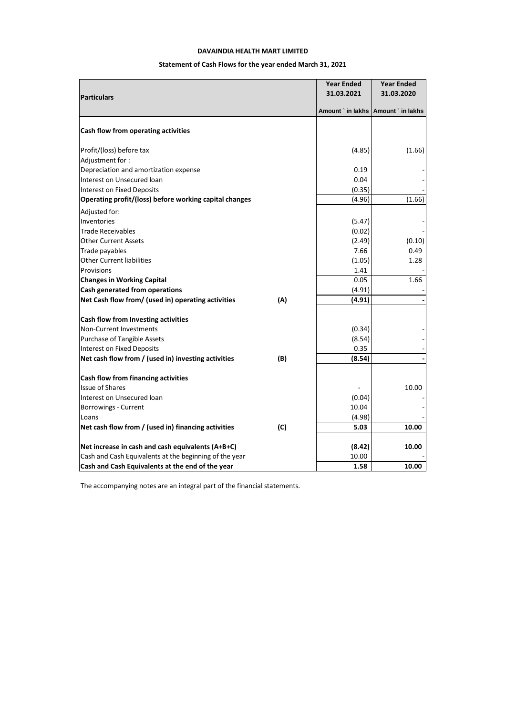# **Statement of Cash Flows for the year ended March 31, 2021**

|                                                        |     | <b>Year Ended</b><br>31.03.2021 | <b>Year Ended</b><br>31.03.2020       |
|--------------------------------------------------------|-----|---------------------------------|---------------------------------------|
| <b>Particulars</b>                                     |     |                                 |                                       |
|                                                        |     |                                 | Amount ` in lakhs   Amount ` in lakhs |
| Cash flow from operating activities                    |     |                                 |                                       |
| Profit/(loss) before tax                               |     | (4.85)                          | (1.66)                                |
| Adjustment for:                                        |     |                                 |                                       |
| Depreciation and amortization expense                  |     | 0.19                            |                                       |
| Interest on Unsecured loan                             |     | 0.04                            |                                       |
| <b>Interest on Fixed Deposits</b>                      |     | (0.35)                          |                                       |
| Operating profit/(loss) before working capital changes |     | (4.96)                          | (1.66)                                |
| Adjusted for:                                          |     |                                 |                                       |
| Inventories                                            |     | (5.47)                          |                                       |
| <b>Trade Receivables</b>                               |     | (0.02)                          |                                       |
| <b>Other Current Assets</b>                            |     | (2.49)                          | (0.10)                                |
| Trade payables                                         |     | 7.66                            | 0.49                                  |
| <b>Other Current liabilities</b>                       |     | (1.05)                          | 1.28                                  |
| Provisions                                             |     | 1.41                            |                                       |
| <b>Changes in Working Capital</b>                      |     | 0.05                            | 1.66                                  |
| Cash generated from operations                         |     | (4.91)                          |                                       |
| Net Cash flow from/ (used in) operating activities     | (A) | (4.91)                          |                                       |
| Cash flow from Investing activities                    |     |                                 |                                       |
| Non-Current Investments                                |     | (0.34)                          |                                       |
| Purchase of Tangible Assets                            |     | (8.54)                          |                                       |
| <b>Interest on Fixed Deposits</b>                      |     | 0.35                            |                                       |
| Net cash flow from / (used in) investing activities    | (B) | (8.54)                          |                                       |
| Cash flow from financing activities                    |     |                                 |                                       |
| <b>Issue of Shares</b>                                 |     |                                 | 10.00                                 |
| Interest on Unsecured loan                             |     | (0.04)                          |                                       |
| Borrowings - Current                                   |     | 10.04                           |                                       |
| Loans                                                  |     | (4.98)                          |                                       |
| Net cash flow from / (used in) financing activities    | (C) | 5.03                            | 10.00                                 |
|                                                        |     |                                 |                                       |
| Net increase in cash and cash equivalents (A+B+C)      |     | (8.42)                          | 10.00                                 |
| Cash and Cash Equivalents at the beginning of the year |     | 10.00                           |                                       |
| Cash and Cash Equivalents at the end of the year       |     | 1.58                            | 10.00                                 |

The accompanying notes are an integral part of the financial statements.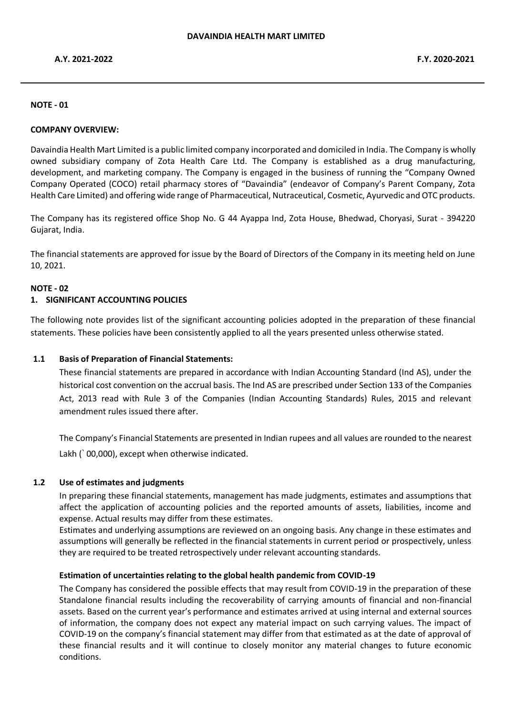#### **NOTE - 01**

#### **COMPANY OVERVIEW:**

Davaindia Health Mart Limited is a public limited company incorporated and domiciled in India. The Company is wholly owned subsidiary company of Zota Health Care Ltd. The Company is established as a drug manufacturing, development, and marketing company. The Company is engaged in the business of running the "Company Owned Company Operated (COCO) retail pharmacy stores of "Davaindia" (endeavor of Company's Parent Company, Zota Health Care Limited) and offering wide range of Pharmaceutical, Nutraceutical, Cosmetic, Ayurvedic and OTC products.

The Company has its registered office Shop No. G 44 Ayappa Ind, Zota House, Bhedwad, Choryasi, Surat - 394220 Gujarat, India.

The financial statements are approved for issue by the Board of Directors of the Company in its meeting held on June 10, 2021.

# **NOTE - 02**

# **1. SIGNIFICANT ACCOUNTING POLICIES**

The following note provides list of the significant accounting policies adopted in the preparation of these financial statements. These policies have been consistently applied to all the years presented unless otherwise stated.

#### **1.1 Basis of Preparation of Financial Statements:**

These financial statements are prepared in accordance with Indian Accounting Standard (Ind AS), under the historical cost convention on the accrual basis. The Ind AS are prescribed under Section 133 of the Companies Act, 2013 read with Rule 3 of the Companies (Indian Accounting Standards) Rules, 2015 and relevant amendment rules issued there after.

The Company's Financial Statements are presented in Indian rupees and all values are rounded to the nearest Lakh (`00,000), except when otherwise indicated.

#### **1.2 Use of estimates and judgments**

In preparing these financial statements, management has made judgments, estimates and assumptions that affect the application of accounting policies and the reported amounts of assets, liabilities, income and expense. Actual results may differ from these estimates.

Estimates and underlying assumptions are reviewed on an ongoing basis. Any change in these estimates and assumptions will generally be reflected in the financial statements in current period or prospectively, unless they are required to be treated retrospectively under relevant accounting standards.

#### **Estimation of uncertainties relating to the global health pandemic from COVID-19**

The Company has considered the possible effects that may result from COVID-19 in the preparation of these Standalone financial results including the recoverability of carrying amounts of financial and non-financial assets. Based on the current year's performance and estimates arrived at using internal and external sources of information, the company does not expect any material impact on such carrying values. The impact of COVID-19 on the company's financial statement may differ from that estimated as at the date of approval of these financial results and it will continue to closely monitor any material changes to future economic conditions.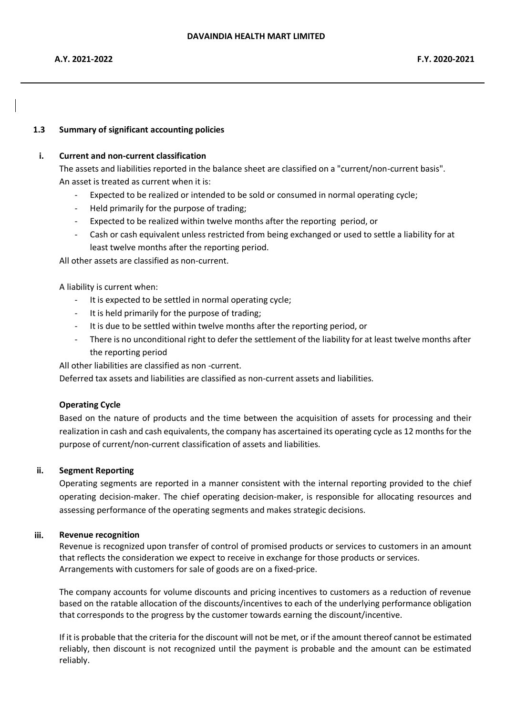# **1.3 Summary of significant accounting policies**

#### **i. Current and non-current classification**

The assets and liabilities reported in the balance sheet are classified on a "current/non-current basis". An asset is treated as current when it is:

- Expected to be realized or intended to be sold or consumed in normal operating cycle;
- Held primarily for the purpose of trading;
- Expected to be realized within twelve months after the reporting period, or
- Cash or cash equivalent unless restricted from being exchanged or used to settle a liability for at least twelve months after the reporting period.

All other assets are classified as non-current.

A liability is current when:

- It is expected to be settled in normal operating cycle;
- It is held primarily for the purpose of trading;
- It is due to be settled within twelve months after the reporting period, or
- There is no unconditional right to defer the settlement of the liability for at least twelve months after the reporting period

All other liabilities are classified as non -current.

Deferred tax assets and liabilities are classified as non-current assets and liabilities.

#### **Operating Cycle**

Based on the nature of products and the time between the acquisition of assets for processing and their realization in cash and cash equivalents, the company has ascertained its operating cycle as 12 months for the purpose of current/non-current classification of assets and liabilities.

#### **ii. Segment Reporting**

Operating segments are reported in a manner consistent with the internal reporting provided to the chief operating decision-maker. The chief operating decision-maker, is responsible for allocating resources and assessing performance of the operating segments and makes strategic decisions.

#### **iii. Revenue recognition**

Revenue is recognized upon transfer of control of promised products or services to customers in an amount that reflects the consideration we expect to receive in exchange for those products or services. Arrangements with customers for sale of goods are on a fixed-price.

The company accounts for volume discounts and pricing incentives to customers as a reduction of revenue based on the ratable allocation of the discounts/incentives to each of the underlying performance obligation that corresponds to the progress by the customer towards earning the discount/incentive.

If it is probable that the criteria for the discount will not be met, or if the amount thereof cannot be estimated reliably, then discount is not recognized until the payment is probable and the amount can be estimated reliably.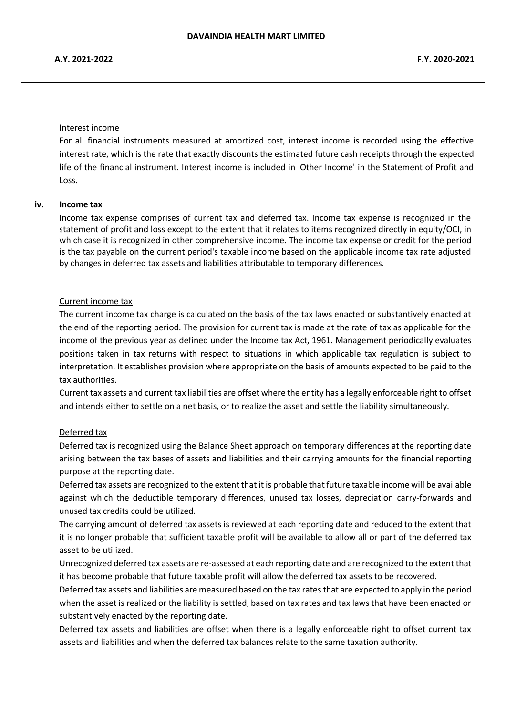Interest income

For all financial instruments measured at amortized cost, interest income is recorded using the effective interest rate, which is the rate that exactly discounts the estimated future cash receipts through the expected life of the financial instrument. Interest income is included in 'Other Income' in the Statement of Profit and Loss.

#### **iv. Income tax**

Income tax expense comprises of current tax and deferred tax. Income tax expense is recognized in the statement of profit and loss except to the extent that it relates to items recognized directly in equity/OCI, in which case it is recognized in other comprehensive income. The income tax expense or credit for the period is the tax payable on the current period's taxable income based on the applicable income tax rate adjusted by changes in deferred tax assets and liabilities attributable to temporary differences.

#### Current income tax

The current income tax charge is calculated on the basis of the tax laws enacted or substantively enacted at the end of the reporting period. The provision for current tax is made at the rate of tax as applicable for the income of the previous year as defined under the Income tax Act, 1961. Management periodically evaluates positions taken in tax returns with respect to situations in which applicable tax regulation is subject to interpretation. It establishes provision where appropriate on the basis of amounts expected to be paid to the tax authorities.

Current tax assets and current tax liabilities are offset where the entity has a legally enforceable right to offset and intends either to settle on a net basis, or to realize the asset and settle the liability simultaneously.

#### Deferred tax

Deferred tax is recognized using the Balance Sheet approach on temporary differences at the reporting date arising between the tax bases of assets and liabilities and their carrying amounts for the financial reporting purpose at the reporting date.

Deferred tax assets are recognized to the extent that it is probable that future taxable income will be available against which the deductible temporary differences, unused tax losses, depreciation carry-forwards and unused tax credits could be utilized.

The carrying amount of deferred tax assets is reviewed at each reporting date and reduced to the extent that it is no longer probable that sufficient taxable profit will be available to allow all or part of the deferred tax asset to be utilized.

Unrecognized deferred tax assets are re-assessed at each reporting date and are recognized to the extent that it has become probable that future taxable profit will allow the deferred tax assets to be recovered.

Deferred tax assets and liabilities are measured based on the tax rates that are expected to apply in the period when the asset is realized or the liability is settled, based on tax rates and tax laws that have been enacted or substantively enacted by the reporting date.

Deferred tax assets and liabilities are offset when there is a legally enforceable right to offset current tax assets and liabilities and when the deferred tax balances relate to the same taxation authority.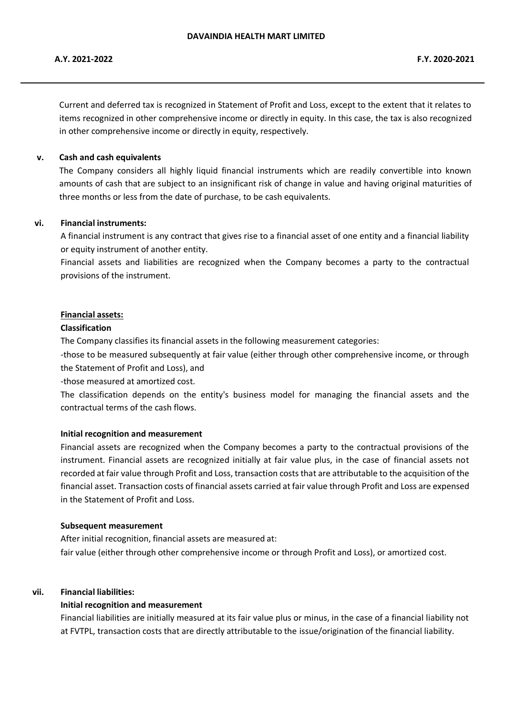#### **A.Y. 2021-2022 F.Y. 2020-2021**

Current and deferred tax is recognized in Statement of Profit and Loss, except to the extent that it relates to items recognized in other comprehensive income or directly in equity. In this case, the tax is also recognized in other comprehensive income or directly in equity, respectively.

# **v. Cash and cash equivalents**

The Company considers all highly liquid financial instruments which are readily convertible into known amounts of cash that are subject to an insignificant risk of change in value and having original maturities of three months or less from the date of purchase, to be cash equivalents.

# **vi. Financial instruments:**

A financial instrument is any contract that gives rise to a financial asset of one entity and a financial liability or equity instrument of another entity.

Financial assets and liabilities are recognized when the Company becomes a party to the contractual provisions of the instrument.

#### **Financial assets:**

#### **Classification**

The Company classifies its financial assets in the following measurement categories:

 -those to be measured subsequently at fair value (either through other comprehensive income, or through the Statement of Profit and Loss), and

-those measured at amortized cost.

The classification depends on the entity's business model for managing the financial assets and the contractual terms of the cash flows.

#### **Initial recognition and measurement**

Financial assets are recognized when the Company becomes a party to the contractual provisions of the instrument. Financial assets are recognized initially at fair value plus, in the case of financial assets not recorded at fair value through Profit and Loss, transaction costs that are attributable to the acquisition of the financial asset. Transaction costs of financial assets carried at fair value through Profit and Loss are expensed in the Statement of Profit and Loss.

#### **Subsequent measurement**

After initial recognition, financial assets are measured at: fair value (either through other comprehensive income or through Profit and Loss), or amortized cost.

# **vii. Financial liabilities:**

#### **Initial recognition and measurement**

Financial liabilities are initially measured at its fair value plus or minus, in the case of a financial liability not at FVTPL, transaction costs that are directly attributable to the issue/origination of the financial liability.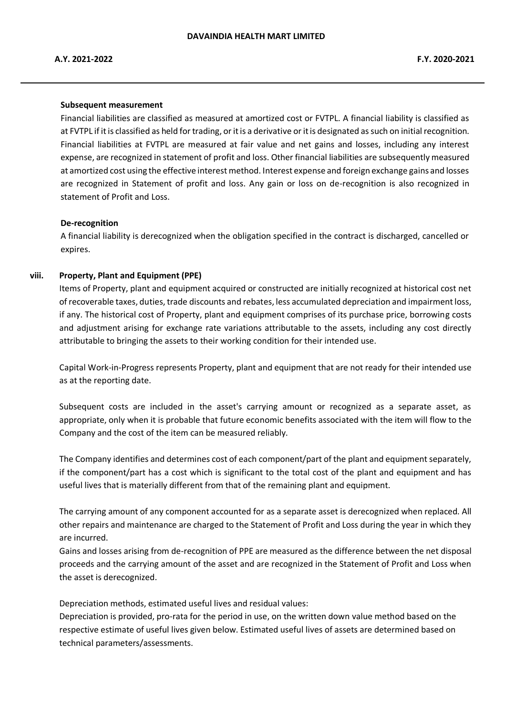# **A.Y. 2021-2022 F.Y. 2020-2021**

#### **Subsequent measurement**

Financial liabilities are classified as measured at amortized cost or FVTPL. A financial liability is classified as at FVTPL if it is classified as held for trading, or it is a derivative or it is designated as such on initial recognition. Financial liabilities at FVTPL are measured at fair value and net gains and losses, including any interest expense, are recognized in statement of profit and loss. Other financial liabilities are subsequently measured at amortized cost using the effective interest method. Interest expense and foreign exchange gains and losses are recognized in Statement of profit and loss. Any gain or loss on de-recognition is also recognized in statement of Profit and Loss.

#### **De-recognition**

A financial liability is derecognized when the obligation specified in the contract is discharged, cancelled or expires.

#### **viii. Property, Plant and Equipment (PPE)**

Items of Property, plant and equipment acquired or constructed are initially recognized at historical cost net of recoverable taxes, duties, trade discounts and rebates, less accumulated depreciation and impairment loss, if any. The historical cost of Property, plant and equipment comprises of its purchase price, borrowing costs and adjustment arising for exchange rate variations attributable to the assets, including any cost directly attributable to bringing the assets to their working condition for their intended use.

Capital Work-in-Progress represents Property, plant and equipment that are not ready for their intended use as at the reporting date.

Subsequent costs are included in the asset's carrying amount or recognized as a separate asset, as appropriate, only when it is probable that future economic benefits associated with the item will flow to the Company and the cost of the item can be measured reliably.

The Company identifies and determines cost of each component/part of the plant and equipment separately, if the component/part has a cost which is significant to the total cost of the plant and equipment and has useful lives that is materially different from that of the remaining plant and equipment.

The carrying amount of any component accounted for as a separate asset is derecognized when replaced. All other repairs and maintenance are charged to the Statement of Profit and Loss during the year in which they are incurred.

Gains and losses arising from de-recognition of PPE are measured as the difference between the net disposal proceeds and the carrying amount of the asset and are recognized in the Statement of Profit and Loss when the asset is derecognized.

Depreciation methods, estimated useful lives and residual values:

Depreciation is provided, pro-rata for the period in use, on the written down value method based on the respective estimate of useful lives given below. Estimated useful lives of assets are determined based on technical parameters/assessments.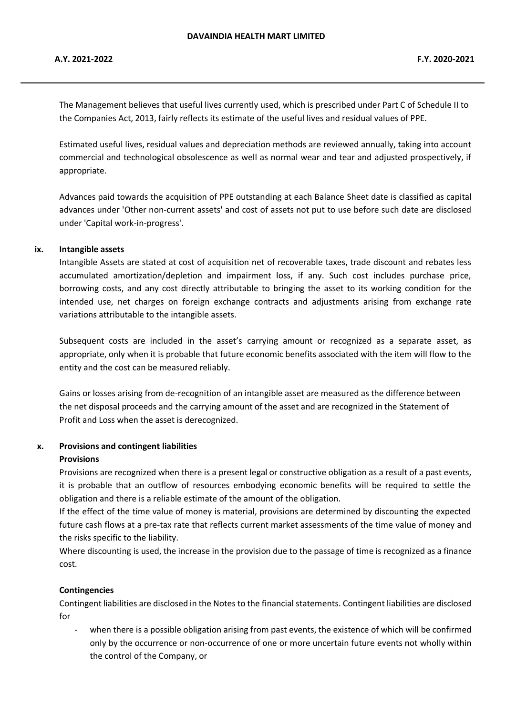The Management believes that useful lives currently used, which is prescribed under Part C of Schedule II to the Companies Act, 2013, fairly reflects its estimate of the useful lives and residual values of PPE.

Estimated useful lives, residual values and depreciation methods are reviewed annually, taking into account commercial and technological obsolescence as well as normal wear and tear and adjusted prospectively, if appropriate.

Advances paid towards the acquisition of PPE outstanding at each Balance Sheet date is classified as capital advances under 'Other non-current assets' and cost of assets not put to use before such date are disclosed under 'Capital work-in-progress'.

#### **ix. Intangible assets**

Intangible Assets are stated at cost of acquisition net of recoverable taxes, trade discount and rebates less accumulated amortization/depletion and impairment loss, if any. Such cost includes purchase price, borrowing costs, and any cost directly attributable to bringing the asset to its working condition for the intended use, net charges on foreign exchange contracts and adjustments arising from exchange rate variations attributable to the intangible assets.

Subsequent costs are included in the asset's carrying amount or recognized as a separate asset, as appropriate, only when it is probable that future economic benefits associated with the item will flow to the entity and the cost can be measured reliably.

Gains or losses arising from de-recognition of an intangible asset are measured as the difference between the net disposal proceeds and the carrying amount of the asset and are recognized in the Statement of Profit and Loss when the asset is derecognized.

# **x. Provisions and contingent liabilities**

# **Provisions**

Provisions are recognized when there is a present legal or constructive obligation as a result of a past events, it is probable that an outflow of resources embodying economic benefits will be required to settle the obligation and there is a reliable estimate of the amount of the obligation.

If the effect of the time value of money is material, provisions are determined by discounting the expected future cash flows at a pre-tax rate that reflects current market assessments of the time value of money and the risks specific to the liability.

Where discounting is used, the increase in the provision due to the passage of time is recognized as a finance cost.

#### **Contingencies**

Contingent liabilities are disclosed in the Notes to the financial statements. Contingent liabilities are disclosed for

when there is a possible obligation arising from past events, the existence of which will be confirmed only by the occurrence or non-occurrence of one or more uncertain future events not wholly within the control of the Company, or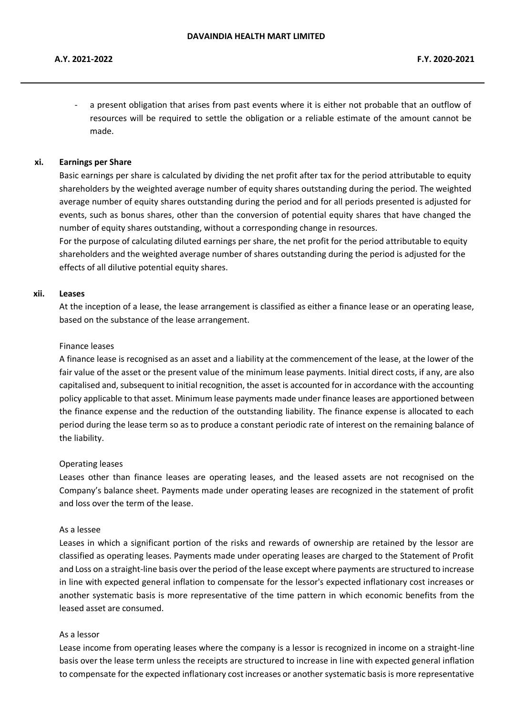#### **A.Y. 2021-2022 F.Y. 2020-2021**

a present obligation that arises from past events where it is either not probable that an outflow of resources will be required to settle the obligation or a reliable estimate of the amount cannot be made.

# **xi. Earnings per Share**

Basic earnings per share is calculated by dividing the net profit after tax for the period attributable to equity shareholders by the weighted average number of equity shares outstanding during the period. The weighted average number of equity shares outstanding during the period and for all periods presented is adjusted for events, such as bonus shares, other than the conversion of potential equity shares that have changed the number of equity shares outstanding, without a corresponding change in resources.

For the purpose of calculating diluted earnings per share, the net profit for the period attributable to equity shareholders and the weighted average number of shares outstanding during the period is adjusted for the effects of all dilutive potential equity shares.

# **xii. Leases**

At the inception of a lease, the lease arrangement is classified as either a finance lease or an operating lease, based on the substance of the lease arrangement.

#### Finance leases

A finance lease is recognised as an asset and a liability at the commencement of the lease, at the lower of the fair value of the asset or the present value of the minimum lease payments. Initial direct costs, if any, are also capitalised and, subsequent to initial recognition, the asset is accounted for in accordance with the accounting policy applicable to that asset. Minimum lease payments made under finance leases are apportioned between the finance expense and the reduction of the outstanding liability. The finance expense is allocated to each period during the lease term so as to produce a constant periodic rate of interest on the remaining balance of the liability.

#### Operating leases

Leases other than finance leases are operating leases, and the leased assets are not recognised on the Company's balance sheet. Payments made under operating leases are recognized in the statement of profit and loss over the term of the lease.

#### As a lessee

Leases in which a significant portion of the risks and rewards of ownership are retained by the lessor are classified as operating leases. Payments made under operating leases are charged to the Statement of Profit and Loss on a straight-line basis over the period of the lease except where payments are structured to increase in line with expected general inflation to compensate for the lessor's expected inflationary cost increases or another systematic basis is more representative of the time pattern in which economic benefits from the leased asset are consumed.

#### As a lessor

Lease income from operating leases where the company is a lessor is recognized in income on a straight-line basis over the lease term unless the receipts are structured to increase in line with expected general inflation to compensate for the expected inflationary cost increases or another systematic basis is more representative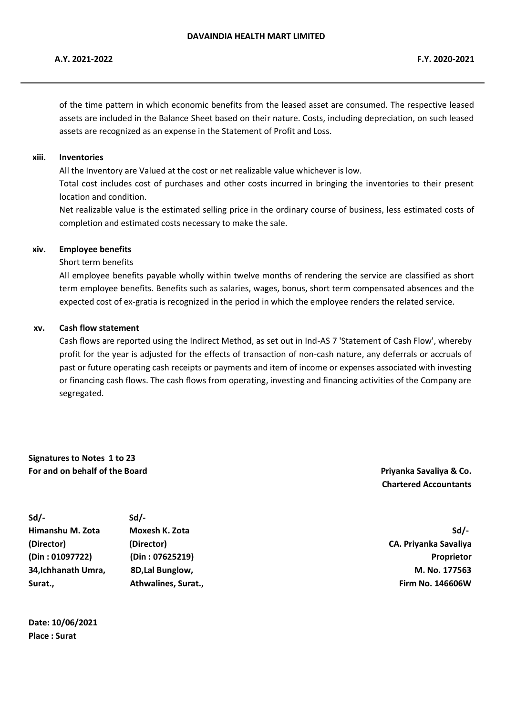of the time pattern in which economic benefits from the leased asset are consumed. The respective leased assets are included in the Balance Sheet based on their nature. Costs, including depreciation, on such leased assets are recognized as an expense in the Statement of Profit and Loss.

#### **xiii. Inventories**

All the Inventory are Valued at the cost or net realizable value whichever is low.

Total cost includes cost of purchases and other costs incurred in bringing the inventories to their present location and condition.

Net realizable value is the estimated selling price in the ordinary course of business, less estimated costs of completion and estimated costs necessary to make the sale.

#### **xiv. Employee benefits**

Short term benefits

All employee benefits payable wholly within twelve months of rendering the service are classified as short term employee benefits. Benefits such as salaries, wages, bonus, short term compensated absences and the expected cost of ex-gratia is recognized in the period in which the employee renders the related service.

# **xv. Cash flow statement**

Cash flows are reported using the Indirect Method, as set out in Ind-AS 7 'Statement of Cash Flow', whereby profit for the year is adjusted for the effects of transaction of non-cash nature, any deferrals or accruals of past or future operating cash receipts or payments and item of income or expenses associated with investing or financing cash flows. The cash flows from operating, investing and financing activities of the Company are segregated.

**Signatures to Notes 1 to 23 For and on behalf of the Board Priyanka Savaliya & Co.**

**Chartered Accountants** 

**Sd/- Sd/- Himanshu M. Zota Moxesh K. Zota Sd/- (Director) (Director) CA. Priyanka Savaliya (Din : 01097722) (Din : 07625219) Proprietor 34,Ichhanath Umra, 8D,Lal Bunglow, Surat., Athwalines, Surat.,** 

**Date: 10/06/2021 Place : Surat**

**M. No. 177563 Firm No. 146606W**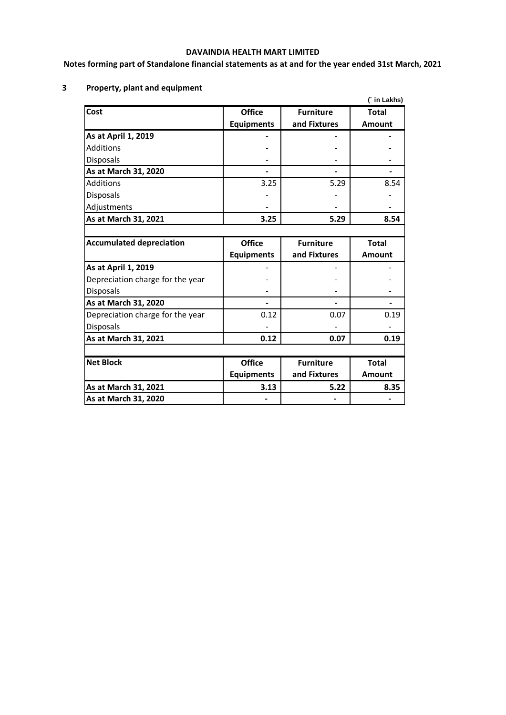**Notes forming part of Standalone financial statements as at and for the year ended 31st March, 2021**

# **3 Property, plant and equipment**

|                                  |                   |                  | (` in Lakhs)  |
|----------------------------------|-------------------|------------------|---------------|
| Cost                             | <b>Office</b>     | <b>Furniture</b> | <b>Total</b>  |
|                                  | <b>Equipments</b> | and Fixtures     | <b>Amount</b> |
| As at April 1, 2019              |                   |                  |               |
| <b>Additions</b>                 |                   |                  |               |
| <b>Disposals</b>                 |                   |                  |               |
| As at March 31, 2020             |                   |                  |               |
| <b>Additions</b>                 | 3.25              | 5.29             | 8.54          |
| <b>Disposals</b>                 |                   |                  |               |
| Adjustments                      |                   |                  |               |
| As at March 31, 2021             | 3.25              | 5.29             | 8.54          |
|                                  |                   |                  |               |
| <b>Accumulated depreciation</b>  | <b>Office</b>     | <b>Furniture</b> | <b>Total</b>  |
|                                  | <b>Equipments</b> | and Fixtures     | <b>Amount</b> |
| As at April 1, 2019              |                   |                  |               |
| Depreciation charge for the year |                   |                  |               |
| <b>Disposals</b>                 |                   |                  |               |
| As at March 31, 2020             |                   |                  |               |
| Depreciation charge for the year | 0.12              | 0.07             | 0.19          |
| <b>Disposals</b>                 |                   |                  |               |
| As at March 31, 2021             | 0.12              | 0.07             | 0.19          |
|                                  |                   |                  |               |
| <b>Net Block</b>                 | <b>Office</b>     | <b>Furniture</b> | <b>Total</b>  |
|                                  | <b>Equipments</b> | and Fixtures     | Amount        |
| As at March 31, 2021             | 3.13              | 5.22             | 8.35          |
| As at March 31, 2020             |                   |                  |               |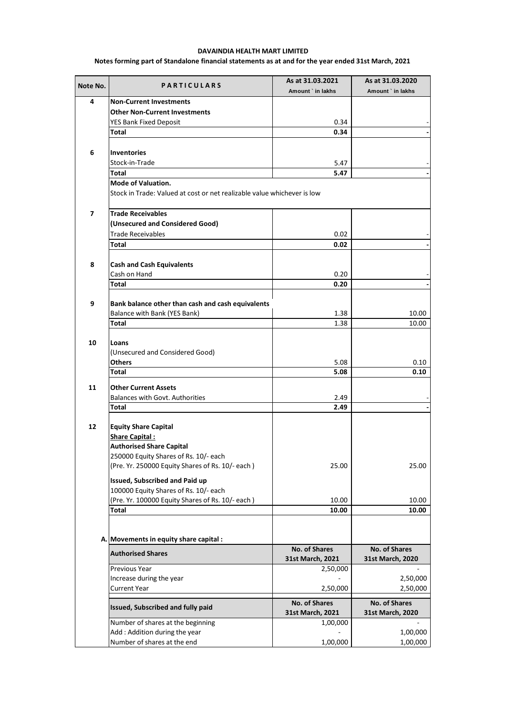# **Notes forming part of Standalone financial statements as at and for the year ended 31st March, 2021**

|                |                                                                         | As at 31.03.2021     | As at 31.03.2020     |
|----------------|-------------------------------------------------------------------------|----------------------|----------------------|
| Note No.       | <b>PARTICULARS</b>                                                      | Amount ` in lakhs    | Amount ` in lakhs    |
| 4              | <b>Non-Current Investments</b>                                          |                      |                      |
|                | <b>Other Non-Current Investments</b>                                    |                      |                      |
|                | <b>YES Bank Fixed Deposit</b>                                           | 0.34                 |                      |
|                | Total                                                                   | 0.34                 |                      |
|                |                                                                         |                      |                      |
| 6              | <b>Inventories</b>                                                      |                      |                      |
|                | Stock-in-Trade                                                          | 5.47                 |                      |
|                | Total                                                                   | 5.47                 |                      |
|                | <b>Mode of Valuation.</b>                                               |                      |                      |
|                | Stock in Trade: Valued at cost or net realizable value whichever is low |                      |                      |
|                |                                                                         |                      |                      |
| $\overline{ }$ | <b>Trade Receivables</b>                                                |                      |                      |
|                | (Unsecured and Considered Good)                                         |                      |                      |
|                | <b>Trade Receivables</b>                                                | 0.02                 |                      |
|                | <b>Total</b>                                                            | 0.02                 |                      |
|                |                                                                         |                      |                      |
| 8              | <b>Cash and Cash Equivalents</b>                                        |                      |                      |
|                | Cash on Hand                                                            | 0.20                 |                      |
|                | Total                                                                   | 0.20                 |                      |
|                |                                                                         |                      |                      |
| 9              | Bank balance other than cash and cash equivalents                       |                      |                      |
|                | Balance with Bank (YES Bank)                                            | 1.38                 | 10.00                |
|                | <b>Total</b>                                                            | 1.38                 | 10.00                |
|                |                                                                         |                      |                      |
| 10             | Loans                                                                   |                      |                      |
|                | (Unsecured and Considered Good)                                         |                      |                      |
|                | <b>Others</b>                                                           | 5.08                 | 0.10                 |
|                | Total                                                                   | 5.08                 | 0.10                 |
|                |                                                                         |                      |                      |
| 11             | <b>Other Current Assets</b>                                             |                      |                      |
|                | <b>Balances with Govt. Authorities</b>                                  | 2.49                 |                      |
|                | Total                                                                   | 2.49                 |                      |
|                |                                                                         |                      |                      |
| 12             | <b>Equity Share Capital</b>                                             |                      |                      |
|                | <b>Share Capital:</b>                                                   |                      |                      |
|                | <b>Authorised Share Capital</b>                                         |                      |                      |
|                | 250000 Equity Shares of Rs. 10/- each                                   |                      |                      |
|                | (Pre. Yr. 250000 Equity Shares of Rs. 10/- each)                        | 25.00                | 25.00                |
|                |                                                                         |                      |                      |
|                | Issued, Subscribed and Paid up                                          |                      |                      |
|                | 100000 Equity Shares of Rs. 10/- each                                   |                      |                      |
|                | (Pre. Yr. 100000 Equity Shares of Rs. 10/- each)                        | 10.00                | 10.00                |
|                | Total                                                                   | 10.00                | 10.00                |
|                |                                                                         |                      |                      |
|                |                                                                         |                      |                      |
|                | A. Movements in equity share capital :                                  | <b>No. of Shares</b> | <b>No. of Shares</b> |
|                | <b>Authorised Shares</b>                                                | 31st March, 2021     |                      |
|                |                                                                         |                      | 31st March, 2020     |
|                | Previous Year                                                           | 2,50,000             |                      |
|                | Increase during the year                                                |                      | 2,50,000             |
|                | <b>Current Year</b>                                                     | 2,50,000             | 2,50,000             |
|                |                                                                         | <b>No. of Shares</b> | <b>No. of Shares</b> |
|                | Issued, Subscribed and fully paid                                       | 31st March, 2021     | 31st March, 2020     |
|                | Number of shares at the beginning                                       | 1,00,000             |                      |
|                | Add: Addition during the year                                           |                      | 1,00,000             |
|                | Number of shares at the end                                             | 1,00,000             | 1,00,000             |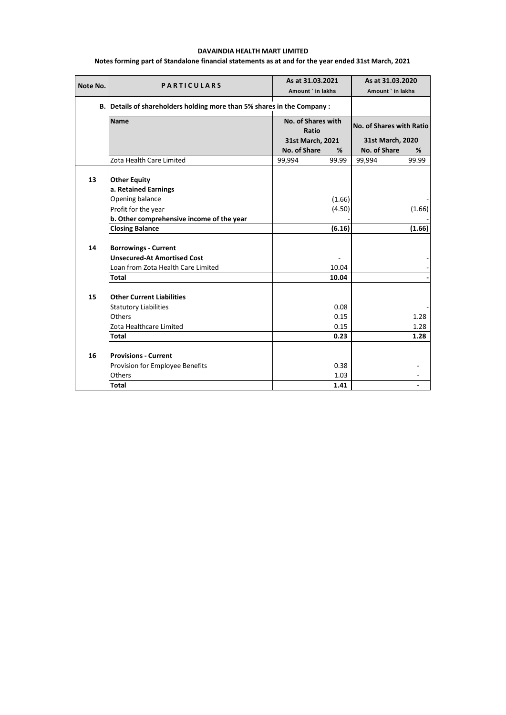# **Notes forming part of Standalone financial statements as at and for the year ended 31st March, 2021**

| Note No. | <b>PARTICULARS</b>                                                      | As at 31.03.2021            |        | As at 31.03.2020                             |        |
|----------|-------------------------------------------------------------------------|-----------------------------|--------|----------------------------------------------|--------|
|          |                                                                         | Amount ` in lakhs           |        | Amount ` in lakhs                            |        |
|          | B. Details of shareholders holding more than 5% shares in the Company : |                             |        |                                              |        |
|          | <b>Name</b>                                                             | No. of Shares with<br>Ratio |        | No. of Shares with Ratio<br>31st March, 2020 |        |
|          |                                                                         | 31st March, 2021            |        |                                              |        |
|          |                                                                         | No. of Share                | %      | No. of Share                                 | %      |
|          | Zota Health Care Limited                                                | 99,994                      | 99.99  | 99,994                                       | 99.99  |
| 13       | <b>Other Equity</b>                                                     |                             |        |                                              |        |
|          | a. Retained Earnings                                                    |                             |        |                                              |        |
|          | Opening balance                                                         |                             | (1.66) |                                              |        |
|          | Profit for the year                                                     |                             | (4.50) |                                              | (1.66) |
|          | b. Other comprehensive income of the year                               |                             |        |                                              |        |
|          | <b>Closing Balance</b>                                                  |                             | (6.16) |                                              | (1.66) |
|          |                                                                         |                             |        |                                              |        |
| 14       | <b>Borrowings - Current</b>                                             |                             |        |                                              |        |
|          | <b>Unsecured-At Amortised Cost</b>                                      |                             |        |                                              |        |
|          | Loan from Zota Health Care Limited                                      |                             | 10.04  |                                              |        |
|          | <b>Total</b>                                                            |                             | 10.04  |                                              |        |
| 15       | <b>Other Current Liabilities</b>                                        |                             |        |                                              |        |
|          | <b>Statutory Liabilities</b>                                            |                             | 0.08   |                                              |        |
|          | Others                                                                  |                             | 0.15   |                                              | 1.28   |
|          | Zota Healthcare Limited                                                 |                             | 0.15   |                                              | 1.28   |
|          | <b>Total</b>                                                            |                             | 0.23   |                                              | 1.28   |
|          |                                                                         |                             |        |                                              |        |
| 16       | <b>Provisions - Current</b>                                             |                             |        |                                              |        |
|          | Provision for Employee Benefits                                         |                             | 0.38   |                                              |        |
|          | Others                                                                  |                             | 1.03   |                                              |        |
|          | <b>Total</b>                                                            |                             | 1.41   |                                              |        |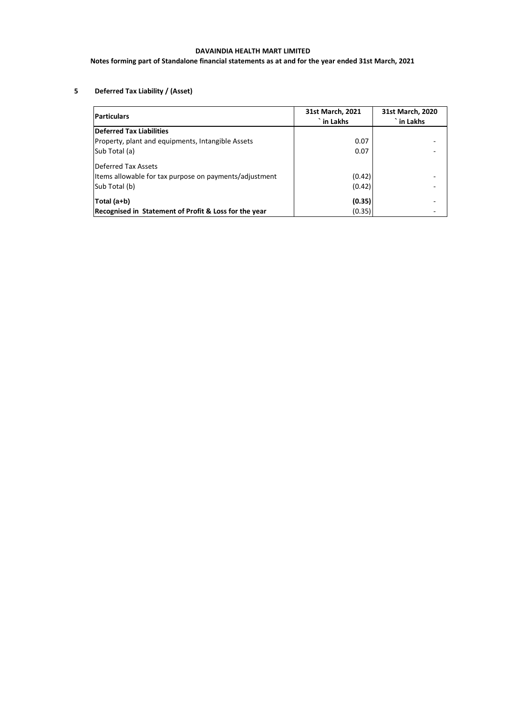**Notes forming part of Standalone financial statements as at and for the year ended 31st March, 2021**

# **5 Deferred Tax Liability / (Asset)**

| <b>Particulars</b>                                     | 31st March, 2021<br>in Lakhs | 31st March, 2020<br>in Lakhs |
|--------------------------------------------------------|------------------------------|------------------------------|
| Deferred Tax Liabilities                               |                              |                              |
| Property, plant and equipments, Intangible Assets      | 0.07                         |                              |
| Sub Total (a)                                          | 0.07                         |                              |
| Deferred Tax Assets                                    |                              |                              |
| Items allowable for tax purpose on payments/adjustment | (0.42)                       |                              |
| Sub Total (b)                                          | (0.42)                       |                              |
| Total (a+b)                                            | (0.35)                       |                              |
| Recognised in Statement of Profit & Loss for the year  | (0.35)                       |                              |